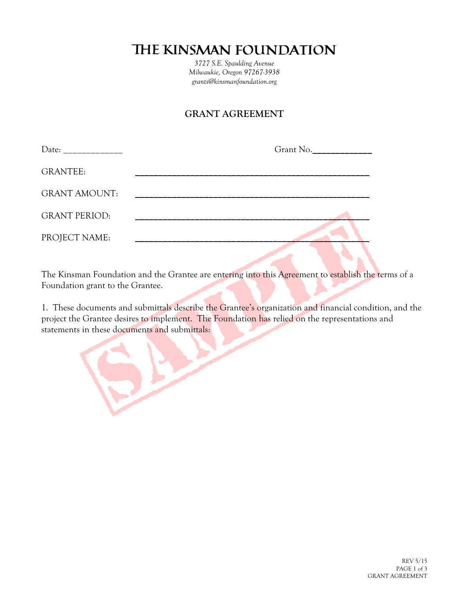## THE KINSMAN FOUNDATION

*3727 S.E. Spaulding Avenue Milwaukie, Oregon 97267-3938 grants@kinsmanfoundation.org*

## **GRANT AGREEMENT**

|                      | Grant No. |
|----------------------|-----------|
| <b>GRANTEE:</b>      |           |
| <b>GRANT AMOUNT:</b> |           |
| <b>GRANT PERIOD:</b> |           |
| PROJECT NAME:        |           |

The Kinsman Foundation and the Grantee are entering into this Agreement to establish the terms of a Foundation grant to the Grantee.

1. These documents and submittals describe the Grantee's organization and financial condition, and the project the Grantee desires to implement. The Foundation has relied on the representations and statements in these documents and submittals: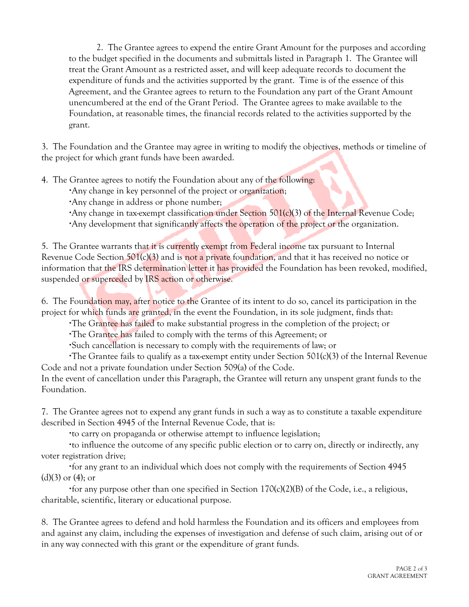2. The Grantee agrees to expend the entire Grant Amount for the purposes and according to the budget specified in the documents and submittals listed in Paragraph 1. The Grantee will treat the Grant Amount as a restricted asset, and will keep adequate records to document the expenditure of funds and the activities supported by the grant. Time is of the essence of this Agreement, and the Grantee agrees to return to the Foundation any part of the Grant Amount unencumbered at the end of the Grant Period. The Grantee agrees to make available to the Foundation, at reasonable times, the financial records related to the activities supported by the grant.

3. The Foundation and the Grantee may agree in writing to modify the objectives, methods or timeline of the project for which grant funds have been awarded.

4. The Grantee agrees to notify the Foundation about any of the following:

Any change in key personnel of the project or organization;

Any change in address or phone number;

Any change in tax-exempt classification under Section 501(c)(3) of the Internal Revenue Code; Any development that significantly affects the operation of the project or the organization.

5. The Grantee warrants that it is currently exempt from Federal income tax pursuant to Internal Revenue Code Section 501(c)(3) and is not a private foundation, and that it has received no notice or information that the IRS determination letter it has provided the Foundation has been revoked, modified, suspended or superceded by IRS action or otherwise.

6. The Foundation may, after notice to the Grantee of its intent to do so, cancel its participation in the project for which funds are granted, in the event the Foundation, in its sole judgment, finds that:

The Grantee has failed to make substantial progress in the completion of the project; or

The Grantee has failed to comply with the terms of this Agreement; or

Such cancellation is necessary to comply with the requirements of law; or

The Grantee fails to qualify as a tax-exempt entity under Section  $501(c)(3)$  of the Internal Revenue Code and not a private foundation under Section 509(a) of the Code.

In the event of cancellation under this Paragraph, the Grantee will return any unspent grant funds to the Foundation.

7. The Grantee agrees not to expend any grant funds in such a way as to constitute a taxable expenditure described in Section 4945 of the Internal Revenue Code, that is:

to carry on propaganda or otherwise attempt to influence legislation;

to influence the outcome of any specific public election or to carry on, directly or indirectly, any voter registration drive;

for any grant to an individual which does not comply with the requirements of Section 4945  $(d)(3)$  or  $(4)$ ; or

for any purpose other than one specified in Section 170(c)(2)(B) of the Code, i.e., a religious, charitable, scientific, literary or educational purpose.

8. The Grantee agrees to defend and hold harmless the Foundation and its officers and employees from and against any claim, including the expenses of investigation and defense of such claim, arising out of or in any way connected with this grant or the expenditure of grant funds.